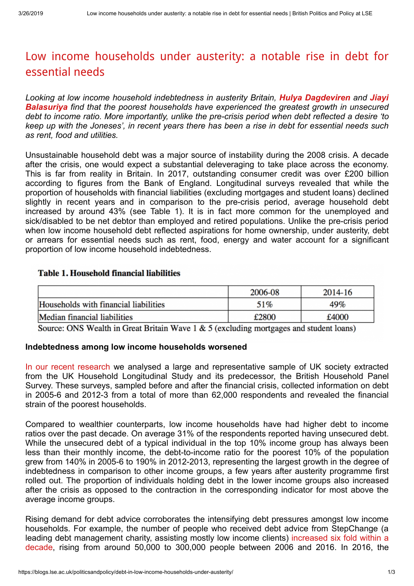# [Low income households under austerity: a notable rise in debt for](https://blogs.lse.ac.uk/politicsandpolicy/debt-in-low-income-households-under-austerity/) essential needs

*Looking at low income household indebtedness in austerity Britain, [Hulya Dagdeviren](#page-2-0) and Jiayi Balasuriya [find that the poorest households have experienced the greatest growth in unsecured](#page-2-0) debt to income ratio. More importantly, unlike the pre-crisis period when debt reflected a desire 'to keep up with the Joneses', in recent years there has been a rise in debt for essential needs such as rent, food and utilities.*

Unsustainable household debt was a major source of instability during the 2008 crisis. A decade after the crisis, one would expect a substantial deleveraging to take place across the economy. This is far from reality in Britain. In 2017, outstanding consumer credit was over £200 billion according to figures from the Bank of England. Longitudinal surveys revealed that while the proportion of households with financial liabilities (excluding mortgages and student loans) declined slightly in recent years and in comparison to the pre-crisis period, average household debt increased by around 43% (see Table 1). It is in fact more common for the unemployed and sick/disabled to be net debtor than employed and retired populations. Unlike the pre-crisis period when low income household debt reflected aspirations for home ownership, under austerity, debt or arrears for essential needs such as rent, food, energy and water account for a significant proportion of low income household indebtedness.

## **Table 1. Household financial liabilities**

|                                       | 2006-08 | 2014-16 |
|---------------------------------------|---------|---------|
| Households with financial liabilities | 51%     | 49%     |
| Median financial liabilities          | £2800   | £4000   |

Source: ONS Wealth in Great Britain Wave  $1 \& 5$  (excluding mortgages and student loans)

#### **Indebtedness among low income households worsened**

[In our recent research](https://www.tandfonline.com/doi/full/10.1080/13563467.2019.1570102) we analysed a large and representative sample of UK society extracted from the UK Household Longitudinal Study and its predecessor, the British Household Panel Survey. These surveys, sampled before and after the financial crisis, collected information on debt in 2005-6 and 2012-3 from a total of more than 62,000 respondents and revealed the financial strain of the poorest households.

Compared to wealthier counterparts, low income households have had higher debt to income ratios over the past decade. On average 31% of the respondents reported having unsecured debt. While the unsecured debt of a typical individual in the top 10% income group has always been less than their monthly income, the debt-to-income ratio for the poorest 10% of the population grew from 140% in 2005-6 to 190% in 2012-2013, representing the largest growth in the degree of indebtedness in comparison to other income groups, a few years after austerity programme first rolled out. The proportion of individuals holding debt in the lower income groups also increased after the crisis as opposed to the contraction in the corresponding indicator for most above the average income groups.

Rising demand for debt advice corroborates the intensifying debt pressures amongst low income households. For example, the number of people who received debt advice from StepChange (a leading debt management charity, assisting mostly low income clients) increased six fold within a [decade, rising from around 50,000 to 300,000 people between 2006 and 2016. In 2016, the](https://www.stepchange.org/policy-and-research/personal-debt-statistics-yearbook-2016.aspx)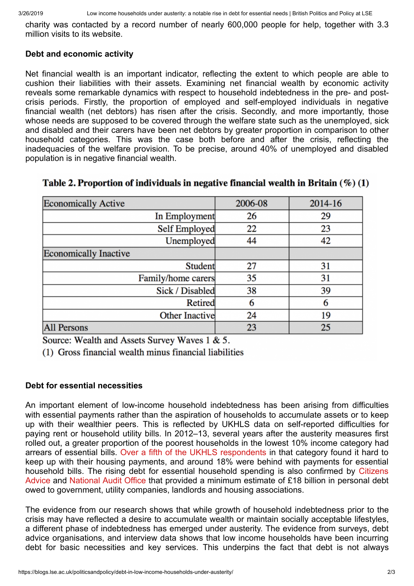charity was contacted by a record number of nearly 600,000 people for help, together with 3.3 million visits to its website.

## **Debt and economic activity**

Net financial wealth is an important indicator, reflecting the extent to which people are able to cushion their liabilities with their assets. Examining net financial wealth by economic activity reveals some remarkable dynamics with respect to household indebtedness in the pre- and postcrisis periods. Firstly, the proportion of employed and self-employed individuals in negative financial wealth (net debtors) has risen after the crisis. Secondly, and more importantly, those whose needs are supposed to be covered through the welfare state such as the unemployed, sick and disabled and their carers have been net debtors by greater proportion in comparison to other household categories. This was the case both before and after the crisis, reflecting the inadequacies of the welfare provision. To be precise, around 40% of unemployed and disabled population is in negative financial wealth.

| <b>Economically Active</b>   | 2006-08 | 2014-16 |
|------------------------------|---------|---------|
| In Employment                | 26      | 29      |
| Self Employed                | 22      | 23      |
| Unemployed                   | 44      | 42      |
| <b>Economically Inactive</b> |         |         |
| Student                      | 27      | 31      |
| Family/home carers           | 35      | 31      |
| Sick / Disabled              | 38      | 39      |
| Retired                      | 6       | 6       |
| <b>Other Inactive</b>        | 24      | 19      |
| <b>All Persons</b>           | 23      | 25      |

## Table 2. Proportion of individuals in negative financial wealth in Britain  $(\%)(1)$

Source: Wealth and Assets Survey Waves 1 & 5.

(1) Gross financial wealth minus financial liabilities

## **Debt for essential necessities**

An important element of low-income household indebtedness has been arising from difficulties with essential payments rather than the aspiration of households to accumulate assets or to keep up with their wealthier peers. This is reflected by UKHLS data on self-reported difficulties for paying rent or household utility bills. In 2012–13, several years after the austerity measures first rolled out, a greater proportion of the poorest households in the lowest 10% income category had arrears of essential bills. [Over a fifth of the UKHLS respondents](https://www.stepchange.org/Portals/0/documents/Reports/behind-on-the-basics-may-2018.pdf) in that category found it hard to keep up with their housing payments, and around 18% were behind with payments for essential [household bills. The rising debt for essential household spending is also confirmed by Citizens](https://www.citizensadvice.org.uk/about-us/policy/policy-research-topics/debt-and-money-policy-research/hidden-debts-the-growing-problem-of-being-behind-on-bills-and-in-debt-to-the-government/) Advice and [National Audit Office](https://www.nao.org.uk/report/tackling-problem-debt/) that provided a minimum estimate of £18 billion in personal debt owed to government, utility companies, landlords and housing associations.

The evidence from our research shows that while growth of household indebtedness prior to the crisis may have reflected a desire to accumulate wealth or maintain socially acceptable lifestyles, a different phase of indebtedness has emerged under austerity. The evidence from surveys, debt advice organisations, and interview data shows that low income households have been incurring debt for basic necessities and key services. This underpins the fact that debt is not always